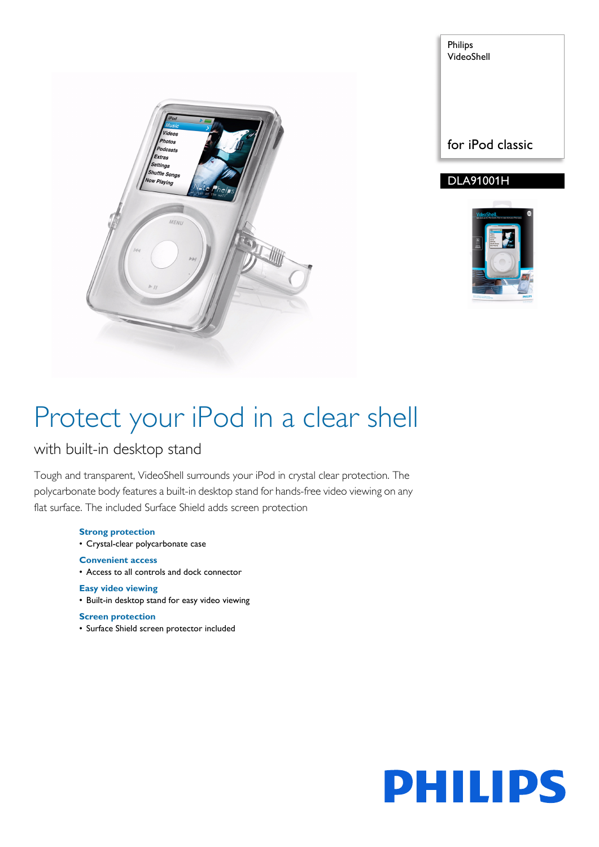

Philips VideoShell for iPod classic

### DLA91001H



# Protect your iPod in a clear shell

with built-in desktop stand

Tough and transparent, VideoShell surrounds your iPod in crystal clear protection. The polycarbonate body features a built-in desktop stand for hands-free video viewing on any flat surface. The included Surface Shield adds screen protection

> **Strong protection** • Crystal-clear polycarbonate case **Convenient access** • Access to all controls and dock connector **Easy video viewing** • Built-in desktop stand for easy video viewing

### **Screen protection**

• Surface Shield screen protector included